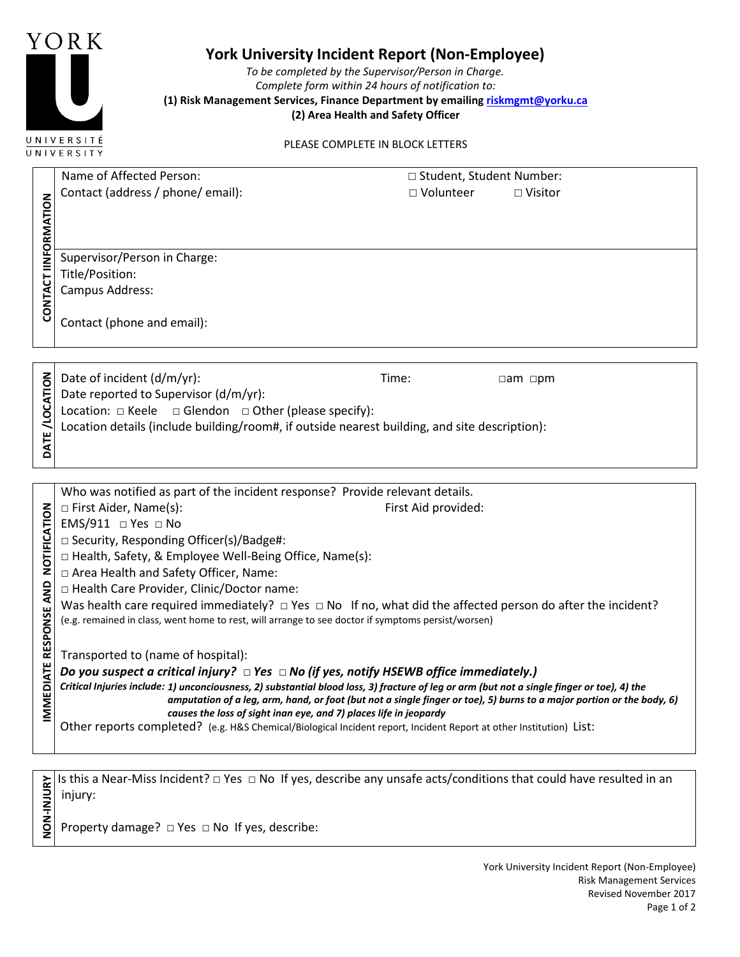

## **York University Incident Report (Non-Employee)**

*To be completed by the Supervisor/Person in Charge. Complete form within 24 hours of notification to:*  **(1) Risk Management Services, Finance Department by emailing riskmgmt@yorku.ca (2) Area Health and Safety Officer**

PLEASE COMPLETE IN BLOCK LETTERS

|                                     | Name of Affected Person:                                                                                                                    | □ Student, Student Number: |                     |  |
|-------------------------------------|---------------------------------------------------------------------------------------------------------------------------------------------|----------------------------|---------------------|--|
|                                     | Contact (address / phone/ email):                                                                                                           | □ Volunteer                | □ Visitor           |  |
| CONTACT IINFORMATION                |                                                                                                                                             |                            |                     |  |
|                                     |                                                                                                                                             |                            |                     |  |
|                                     |                                                                                                                                             |                            |                     |  |
|                                     | Supervisor/Person in Charge:                                                                                                                |                            |                     |  |
|                                     | Title/Position:                                                                                                                             |                            |                     |  |
|                                     | Campus Address:                                                                                                                             |                            |                     |  |
|                                     |                                                                                                                                             |                            |                     |  |
|                                     | Contact (phone and email):                                                                                                                  |                            |                     |  |
|                                     |                                                                                                                                             |                            |                     |  |
|                                     |                                                                                                                                             |                            |                     |  |
|                                     | Date of incident (d/m/yr):                                                                                                                  | Time:                      | $\Box$ am $\Box$ pm |  |
| DATE/LOCATION                       | Date reported to Supervisor (d/m/yr):                                                                                                       |                            |                     |  |
|                                     | Location: $\Box$ Keele $\Box$ Glendon $\Box$ Other (please specify):                                                                        |                            |                     |  |
|                                     |                                                                                                                                             |                            |                     |  |
|                                     | Location details (include building/room#, if outside nearest building, and site description):                                               |                            |                     |  |
|                                     |                                                                                                                                             |                            |                     |  |
|                                     |                                                                                                                                             |                            |                     |  |
|                                     | Who was notified as part of the incident response? Provide relevant details.                                                                |                            |                     |  |
|                                     | □ First Aider, Name(s):                                                                                                                     | First Aid provided:        |                     |  |
|                                     | EMS/911 $\Box$ Yes $\Box$ No                                                                                                                |                            |                     |  |
|                                     | □ Security, Responding Officer(s)/Badge#:                                                                                                   |                            |                     |  |
|                                     | □ Health, Safety, & Employee Well-Being Office, Name(s):                                                                                    |                            |                     |  |
|                                     | □ Area Health and Safety Officer, Name:                                                                                                     |                            |                     |  |
|                                     | □ Health Care Provider, Clinic/Doctor name:                                                                                                 |                            |                     |  |
|                                     | Was health care required immediately? $\Box$ Yes $\Box$ No If no, what did the affected person do after the incident?                       |                            |                     |  |
|                                     | (e.g. remained in class, went home to rest, will arrange to see doctor if symptoms persist/worsen)                                          |                            |                     |  |
| IMMEDIATE RESPONSE AND NOTIFICATION |                                                                                                                                             |                            |                     |  |
|                                     | Transported to (name of hospital):                                                                                                          |                            |                     |  |
|                                     | Do you suspect a critical injury? $\Box$ Yes $\Box$ No (if yes, notify HSEWB office immediately.)                                           |                            |                     |  |
|                                     | Critical Injuries include: 1) unconciousness, 2) substantial blood loss, 3) fracture of leg or arm (but not a single finger or toe), 4) the |                            |                     |  |
|                                     | amputation of a leg, arm, hand, or foot (but not a single finger or toe), 5) burns to a major portion or the body, 6)                       |                            |                     |  |
|                                     | causes the loss of sight inan eye, and 7) places life in jeopardy                                                                           |                            |                     |  |
|                                     |                                                                                                                                             |                            |                     |  |
|                                     | Other reports completed? (e.g. H&S Chemical/Biological Incident report, Incident Report at other Institution) List:                         |                            |                     |  |

**NON-INJURY** Is this a Near-Miss Incident? □ Yes □ No If yes, describe any unsafe acts/conditions that could have resulted in an<br>and injury:<br> $\frac{1}{2}$ <br>Property damage? □ Yes □ No If yes, describe: injury:

Property damage? □ Yes □ No If yes, describe: